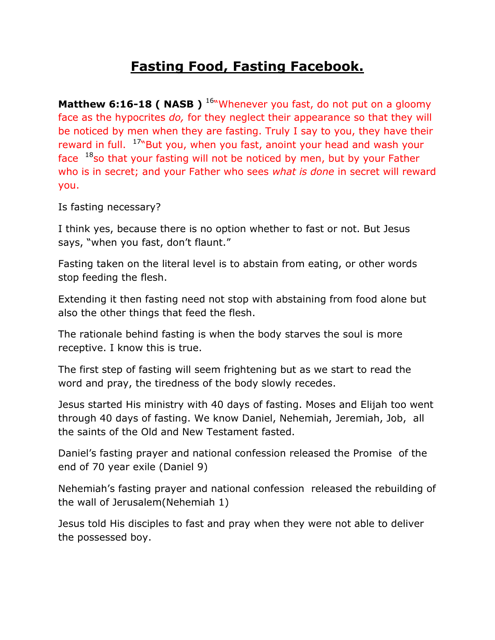## **Fasting Food, Fasting Facebook.**

**Matthew 6:16-18 ( NASB )** <sup>16"</sup>Whenever you fast, do not put on a gloomy face as the hypocrites *do,* for they neglect their appearance so that they will be noticed by men when they are fasting. Truly I say to you, they have their reward in full. <sup>17</sup>"But you, when you fast, anoint your head and wash your face  $18$ so that your fasting will not be noticed by men, but by your Father who is in secret; and your Father who sees *what is done* in secret will reward you.

Is fasting necessary?

I think yes, because there is no option whether to fast or not. But Jesus says, "when you fast, don't flaunt."

Fasting taken on the literal level is to abstain from eating, or other words stop feeding the flesh.

Extending it then fasting need not stop with abstaining from food alone but also the other things that feed the flesh.

The rationale behind fasting is when the body starves the soul is more receptive. I know this is true.

The first step of fasting will seem frightening but as we start to read the word and pray, the tiredness of the body slowly recedes.

Jesus started His ministry with 40 days of fasting. Moses and Elijah too went through 40 days of fasting. We know Daniel, Nehemiah, Jeremiah, Job, all the saints of the Old and New Testament fasted.

Daniel's fasting prayer and national confession released the Promise of the end of 70 year exile (Daniel 9)

Nehemiah's fasting prayer and national confession released the rebuilding of the wall of Jerusalem(Nehemiah 1)

Jesus told His disciples to fast and pray when they were not able to deliver the possessed boy.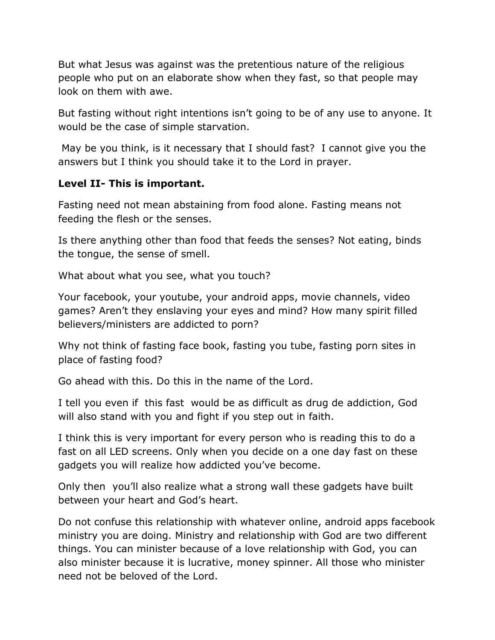But what Jesus was against was the pretentious nature of the religious people who put on an elaborate show when they fast, so that people may look on them with awe.

But fasting without right intentions isn't going to be of any use to anyone. It would be the case of simple starvation.

May be you think, is it necessary that I should fast? I cannot give you the answers but I think you should take it to the Lord in prayer.

## **Level II- This is important.**

Fasting need not mean abstaining from food alone. Fasting means not feeding the flesh or the senses.

Is there anything other than food that feeds the senses? Not eating, binds the tongue, the sense of smell.

What about what you see, what you touch?

Your facebook, your youtube, your android apps, movie channels, video games? Aren't they enslaving your eyes and mind? How many spirit filled believers/ministers are addicted to porn?

Why not think of fasting face book, fasting you tube, fasting porn sites in place of fasting food?

Go ahead with this. Do this in the name of the Lord.

I tell you even if this fast would be as difficult as drug de addiction, God will also stand with you and fight if you step out in faith.

I think this is very important for every person who is reading this to do a fast on all LED screens. Only when you decide on a one day fast on these gadgets you will realize how addicted you've become.

Only then you'll also realize what a strong wall these gadgets have built between your heart and God's heart.

Do not confuse this relationship with whatever online, android apps facebook ministry you are doing. Ministry and relationship with God are two different things. You can minister because of a love relationship with God, you can also minister because it is lucrative, money spinner. All those who minister need not be beloved of the Lord.